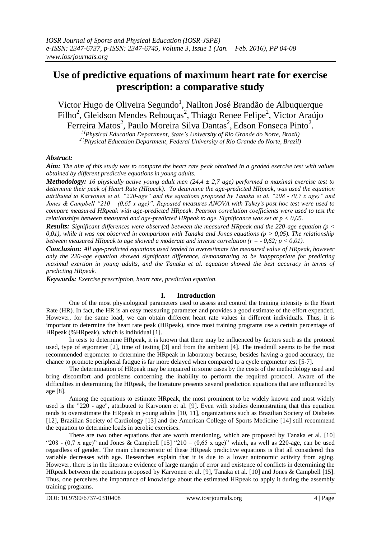# **Use of predictive equations of maximum heart rate for exercise prescription: a comparative study**

Victor Hugo de Oliveira Segundo<sup>1</sup>, Nailton José Brandão de Albuquerque Filho<sup>2</sup>, Gleidson Mendes Rebouças<sup>2</sup>, Thiago Renee Felipe<sup>2</sup>, Victor Araújo Ferreira Matos<sup>2</sup>, Paulo Moreira Silva Dantas<sup>2</sup>, Edson Fonseca Pinto<sup>2</sup>.

*<sup>1</sup> (Physical Education Department, State's University of Rio Grande do Norte, Brazil)*

*<sup>2</sup> (Physical Education Department, Federal University of Rio Grande do Norte, Brazil)*

# *Abstract:*

*Aim: The aim of this study was to compare the heart rate peak obtained in a graded exercise test with values obtained by different predictive equations in young adults.* 

*Methodology: 16 physically active young adult men (24,4 ± 2,7 age) performed a maximal exercise test to determine their peak of Heart Rate (HRpeak). To determine the age-predicted HRpeak, was used the equation attributed to Karvonen et al. "220-age" and the equations proposed by Tanaka et al. "208 - (0,7 x age)" and Jones & Campbell "210 – (0,65 x age)". Repeated measures ANOVA with Tukey's post hoc test were used to compare measured HRpeak with age-predicted HRpeak. Pearson correlation coefficients were used to test the relationships between measured and age-predicted HRpeak to age. Significance was set at p < 0,05.* 

*Results: Significant differences were observed between the measured HRpeak and the 220-age equation (p <*  0,01), while it was not observed in comparison with Tanaka and Jones equations ( $p > 0.05$ ). The relationship *between measured HRpeak to age showed a moderate and inverse correlation (r = - 0,62; p < 0,01).* 

*Conclusion: All age-predicted equations used tended to overestimate the measured value of HRpeak, however only the 220-age equation showed significant difference, demonstrating to be inappropriate for predicting maximal exertion in young adults, and the Tanaka et al. equation showed the best accuracy in terms of predicting HRpeak.*

*Keywords: Exercise prescription, heart rate, prediction equation.*

# **I. Introduction**

One of the most physiological parameters used to assess and control the training intensity is the Heart Rate (HR). In fact, the HR is an easy measuring parameter and provides a good estimate of the effort expended. However, for the same load, we can obtain different heart rate values in different individuals. Thus, it is important to determine the heart rate peak (HRpeak), since most training programs use a certain percentage of HRpeak (%HRpeak), which is individual [1].

In tests to determine HRpeak, it is known that there may be influenced by factors such as the protocol used, type of ergometer [2], time of testing [3] and from the ambient [4]. The treadmill seems to be the most recommended ergometer to determine the HRpeak in laboratory because, besides having a good accuracy, the chance to promote peripheral fatigue is far more delayed when compared to a cycle ergometer test [5-7].

The determination of HRpeak may be impaired in some cases by the costs of the methodology used and bring discomfort and problems concerning the inability to perform the required protocol. Aware of the difficulties in determining the HRpeak, the literature presents several prediction equations that are influenced by age [8].

Among the equations to estimate HRpeak, the most prominent to be widely known and most widely used is the "220 - age", attributed to Karvonen et al. [9]. Even with studies demonstrating that this equation tends to overestimate the HRpeak in young adults [10, 11], organizations such as Brazilian Society of Diabetes [12], Brazilian Society of Cardiology [13] and the American College of Sports Medicine [14] still recommend the equation to determine loads in aerobic exercises.

There are two other equations that are worth mentioning, which are proposed by Tanaka et al. [10] "208 -  $(0.7 \times \text{age})$ " and Jones & Campbell [15] "210 –  $(0.65 \times \text{age})$ " which, as well as 220-age, can be used regardless of gender. The main characteristic of these HRpeak predictive equations is that all considered this variable decreases with age. Researches explain that it is due to a lower autonomic activity from aging. However, there is in the literature evidence of large margin of error and existence of conflicts in determining the HRpeak between the equations proposed by Karvonen et al. [9], Tanaka et al. [10] and Jones & Campbell [15]. Thus, one perceives the importance of knowledge about the estimated HRpeak to apply it during the assembly training programs.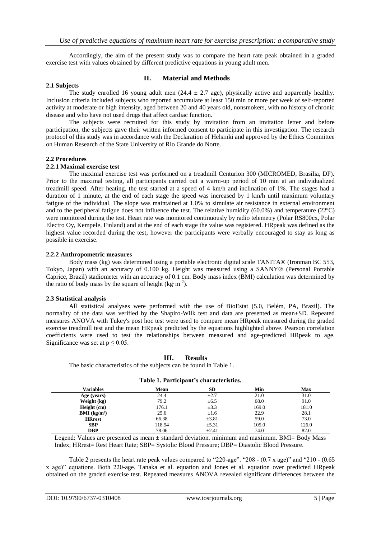Accordingly, the aim of the present study was to compare the heart rate peak obtained in a graded exercise test with values obtained by different predictive equations in young adult men.

#### **2.1 Subjects**

### **II. Material and Methods**

The study enrolled 16 young adult men  $(24.4 \pm 2.7 \text{ age})$ , physically active and apparently healthy. Inclusion criteria included subjects who reported accumulate at least 150 min or more per week of self-reported activity at moderate or high intensity, aged between 20 and 40 years old, nonsmokers, with no history of chronic disease and who have not used drugs that affect cardiac function.

The subjects were recruited for this study by invitation from an invitation letter and before participation, the subjects gave their written informed consent to participate in this investigation. The research protocol of this study was in accordance with the Declaration of Helsinki and approved by the Ethics Committee on Human Research of the State University of Rio Grande do Norte.

#### **2.2 Procedures**

#### **2.2.1 Maximal exercise test**

The maximal exercise test was performed on a treadmill Centurion 300 (MICROMED, Brasília, DF). Prior to the maximal testing, all participants carried out a warm-up period of 10 min at an individualized treadmill speed. After heating, the test started at a speed of 4 km/h and inclination of 1%. The stages had a duration of 1 minute, at the end of each stage the speed was increased by 1 km/h until maximum voluntary fatigue of the individual. The slope was maintained at 1.0% to simulate air resistance in external environment and to the peripheral fatigue does not influence the test. The relative humidity (60.0%) and temperature (22ºC) were monitored during the test. Heart rate was monitored continuously by radio telemetry (Polar RS800cx, Polar Electro Oy, Kempele, Finland) and at the end of each stage the value was registered. HRpeak was defined as the highest value recorded during the test; however the participants were verbally encouraged to stay as long as possible in exercise.

#### **2.2.2 Anthropometric measures**

Body mass (kg) was determined using a portable electronic digital scale TANITA® (Ironman BC 553, Tokyo, Japan) with an accuracy of 0.100 kg. Height was measured using a SANNY® (Personal Portable Caprice, Brazil) stadiometer with an accuracy of 0.1 cm. Body mass index (BMI) calculation was determined by the ratio of body mass by the square of height (kg·m<sup>-2</sup>).

#### **2.3 Statistical analysis**

All statistical analyses were performed with the use of BioEstat (5.0, Belém, PA, Brazil). The normality of the data was verified by the Shapiro-Wilk test and data are presented as mean±SD. Repeated measures ANOVA with Tukey's post hoc test were used to compare mean HRpeak measured during the graded exercise treadmill test and the mean HRpeak predicted by the equations highlighted above. Pearson correlation coefficients were used to test the relationships between measured and age-predicted HRpeak to age. Significance was set at  $p \le 0.05$ .

| $\sim$ which is a we everywhere a children movement. |            |       |       |  |  |  |
|------------------------------------------------------|------------|-------|-------|--|--|--|
| <b>Mean</b>                                          | <b>SD</b>  | Min   | Max   |  |  |  |
| 24.4                                                 | $\pm 2.7$  | 21.0  | 31.0  |  |  |  |
| 79.2                                                 | $\pm 6.5$  | 68.0  | 91.0  |  |  |  |
| 176.1                                                | $\pm 3.3$  | 169.0 | 181.0 |  |  |  |
| 25.6                                                 | $\pm 1.6$  | 22.9  | 28.1  |  |  |  |
| 66.38                                                | $\pm 3.81$ | 59.0  | 73.0  |  |  |  |
| 118.94                                               | $\pm$ 5.31 | 105.0 | 126.0 |  |  |  |
| 78.06                                                | $\pm 2.41$ | 74.0  | 82.0  |  |  |  |
|                                                      |            |       |       |  |  |  |

**Table 1. Participant's characteristics.**

The basic characteristics of the subjects can be found in Table 1.

**III. Results**

Legend: Values are presented as mean ± standard deviation. minimum and maximum. BMI= Body Mass Index; HRrest= Rest Heart Rate; SBP= Systolic Blood Pressure; DBP= Diastolic Blood Pressure.

Table 2 presents the heart rate peak values compared to "220-age". "208 - (0.7 x age)" and "210 - (0.65 x age)" equations. Both 220-age. Tanaka et al. equation and Jones et al. equation over predicted HRpeak obtained on the graded exercise test. Repeated measures ANOVA revealed significant differences between the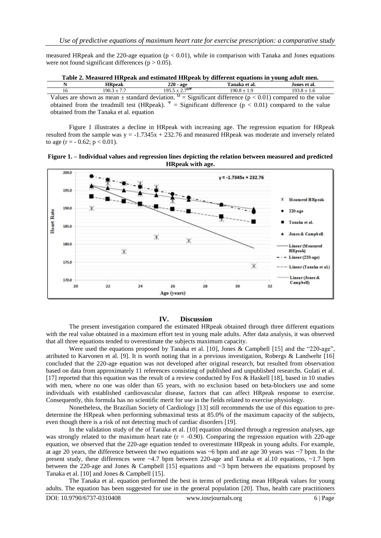measured HRpeak and the 220-age equation ( $p < 0.01$ ), while in comparison with Tanaka and Jones equations were not found significant differences ( $p > 0.05$ ).

| Table 2. Measured HRpeak and estimated HRpeak by different equations in young adult men.                                                    |                                          |                            |               |               |  |  |
|---------------------------------------------------------------------------------------------------------------------------------------------|------------------------------------------|----------------------------|---------------|---------------|--|--|
| N                                                                                                                                           | <b>HR</b> peak                           | 220 - age                  | Tanaka et al. | Jones et al.  |  |  |
| 16                                                                                                                                          | $190.3 + 7.7$                            | $195.5 + 2.7^{\Omega\Psi}$ | $190.8 + 1.9$ | $193.8 + 1.6$ |  |  |
| Values are shown as mean $\pm$ standard deviation. <sup><math>\Omega</math></sup> = Significant difference (p < 0.01) compared to the value |                                          |                            |               |               |  |  |
| obtained from the treadmill test (HRpeak). $\Psi$ = Significant difference (p < 0.01) compared to the value                                 |                                          |                            |               |               |  |  |
|                                                                                                                                             | obtained from the Tanaka et al. equation |                            |               |               |  |  |

Figure 1 illustrates a decline in HRpeak with increasing age. The regression equation for HRpeak resulted from the sample was  $y = -1.7345x + 232.76$  and measured HRpeak was moderate and inversely related to age  $(r = -0.62; p < 0.01)$ .





#### **IV. Discussion**

The present investigation compared the estimated HRpeak obtained through three different equations with the real value obtained in a maximum effort test in young male adults. After data analysis, it was observed that all three equations tended to overestimate the subjects maximum capacity.

Were used the equations proposed by Tanaka et al. [10], Jones & Campbell [15] and the "220-age", atributed to Karvonen et al. [9]. It is worth noting that in a previous investigation, Robergs & Landwehr [16] concluded that the 220-age equation was not developed after original research, but resulted from observation based on data from approximately 11 references consisting of published and unpublished researchs. Gulati et al. [17] reported that this equation was the result of a review conducted by Fox & Haskell [18], based in 10 studies with men, where no one was older than 65 years, with no exclusion based on beta-blockers use and some individuals with established cardiovascular disease, factors that can affect HRpeak response to exercise. Consequently, this formula has no scientific merit for use in the fields related to exercise physiology.

Nonetheless, the Brazilian Society of Cardiology [13] still recommends the use of this equation to predetermine the HRpeak when performing submaximal tests at 85.0% of the maximum capacity of the subjects, even though there is a risk of not detecting much of cardiac disorders [19].

In the validation study of the of Tanaka et al. [10] equation obtained through a regression analyses, age was strongly related to the maximum heart rate  $(r = -0.90)$ . Comparing the regression equation with 220-age equation, we observed that the 220-age equation tended to overestimate HRpeak in young adults. For example, at age 20 years, the difference between the two equations was ~6 bpm and ate age 30 years was ~7 bpm. In the present study, these differences were  $\sim$ 4.7 bpm between 220-age and Tanaka et al.10 equations,  $\sim$ 1.7 bpm between the 220-age and Jones & Campbell [15] equations and  $\sim$ 3 bpm between the equations proposed by Tanaka et al. [10] and Jones & Campbell [15].

The Tanaka et al. equation performed the best in terms of predicting mean HRpeak values for young adults. The equation has been suggested for use in the general population [20]. Thus, health care practitioners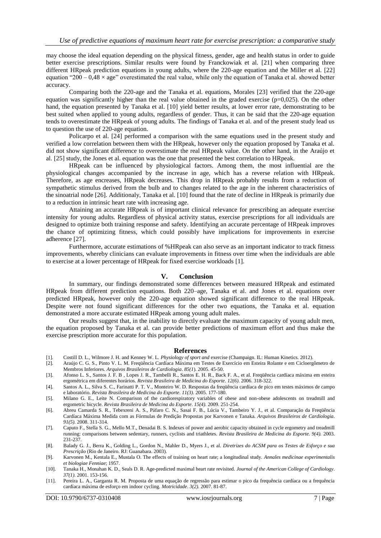may choose the ideal equation depending on the physical fitness, gender, age and health status in order to guide better exercise prescriptions. Similar results were found by Franckowiak et al. [21] when comparing three different HRpeak prediction equations in young adults, where the 220-age equation and the Miller et al. [22] equation "200 – 0,48  $\times$  age" overestimated the real value, while only the equation of Tanaka et al. showed better accuracy.

Comparing both the 220-age and the Tanaka et al. equations, Morales [23] verified that the 220-age equation was significantly higher than the real value obtained in the graded exercise ( $p=0,025$ ). On the other hand, the equation presented by Tanaka et al. [10] yield better results, at lower error rate, demonstrating to be best suited when applied to young adults, regardless of gender. Thus, it can be said that the 220-age equation tends to overestimate the HRpeak of young adults. The findings of Tanaka et al. and of the present study lead us to question the use of 220-age equation.

Policarpo et al. [24] performed a comparison with the same equations used in the present study and verified a low correlation between them with the HRpeak, however only the equation proposed by Tanaka et al. did not show significant difference to overestimate the real HRpeak value. On the other hand, in the Araújo et al. [25] study, the Jones et al. equation was the one that presented the best correlation to HRpeak.

HRpeak can be influenced by physiological factors. Among them, the most influential are the physiological changes accompanied by the increase in age, which has a reverse relation with HRpeak. Therefore, as age encreases, HRpeak decreases. This drop in HRpeak probably results from a reduction of sympathetic stimulus derived from the bulb and to changes related to the age in the inherent characteristics of the sinoatrial node [26]. Additionaly, Tanaka et al. [10] found that the rate of decline in HRpeak is primarily due to a reduction in intrinsic heart rate with increasing age.

Attaining an accurate HRpeak is of important clinical relevance for prescribing an adequate exercise intensity for young adults. Regardless of physical activity status, exercise prescriptions for all individuals are designed to optimize both training response and safety. Identifying an accurate percentage of HRpeak improves the chance of optimizing fitness, which could possibly have implications for improvements in exercise adherence [27].

Furthermore, accurate estimations of %HRpeak can also serve as an important indicator to track fitness improvements, whereby clinicians can evaluate improvements in fitness over time when the individuals are able to exercise at a lower percentage of HRpeak for fixed exercise workloads [1].

#### **V. Conclusion**

In summary, our findings demonstrated some differences between measured HRpeak and estimated HRpeak from different prediction equations. Both 220–age, Tanaka et al. and Jones et al. equations over predicted HRpeak, however only the 220-age equation showed significant difference to the real HRpeak. Despite were not found significant differences for the other two equations, the Tanaka et al. equation demonstrated a more accurate estimated HRpeak among young adult males.

Our results suggest that, in the inability to directly evaluate the maximum capacity of young adult men, the equation proposed by Tanaka et al. can provide better predictions of maximum effort and thus make the exercise prescription more accurate for this population.

#### **References**

- [1]. Costill D. L., Wilmore J. H. and Kenney W. L. *Physiology of sport and* exercise (Champaign. IL: Human Kinetics. 2012).
- [2]. Araújo C. G. S., Pinto V. L. M. Freqüência Cardíaca Máxima em Testes de Exercício em Esteira Rolante e em Cicloergômetro de Membros Inferiores. *Arquivos Brasileiros de Cardiologia*. *85(1*). 2005. 45-50.
- [3]. Afonso L. S., Santos J. F. B , Lopes J. R., Tambelli R., Santos E. H. R., Back F. A., et al. Freqüência cardíaca máxima em esteira ergométrica em diferentes horários. *Revista Brasileira de Medicina do Esporte*. *12(6).* 2006. 318-322.
- [4]. Santos A. L., Silva S. C., Farinatti P. T. V., Monteiro W. D. Respostas da freqüência cardíaca de pico em testes máximos de campo e laboratório. *Revista Brasileira de Medicina do Esporte*. *11(3).* 2005. 177-180.
- [5]. Milano G. E., Leite N. Comparison of the cardiorespiratory variables of obese and non-obese adolescents on treadmill and ergometric bicycle. *Revista Brasileira de Medicina do Esporte*. *15(4).* 2009. 251-254.
- [6]. Abreu Camarda S. R., Tebexreni A. S., Páfaro C. N., Sasai F. B., Lúcia V., Tambeiro Y. J., et al. Comparação da Freqüência Cardíaca Máxima Medida com as Fórmulas de Predição Propostas por Karvonen e Tanaka. *Arquivos Brasileiros de Cardiologia*. *91(5).* 2008. 311-314.
- [7]. Caputo F., Stella S. G., Mello M.T., Denadai B. S. Indexes of power and aerobic capacity obtained in cycle ergometry and treadmill running: comparisons between sedentary, runners, cyclists and triathletes. *Revista Brasileira de Medicina do Esporte. 9(4).* 2003. 231-237.
- [8]. Balady G. J., Berra K., Golding L., Gordon N., Mahler D., Myers J., et al. *Diretrizes do ACSM para os Testes de Esforço e sua Prescrição* (Rio de Janeiro. RJ: Guanabara. 2003).
- [9]. Karvonen M., Kentala E., Mustala O. The effects of training on heart rate; a longitudinal study. *Annales medicinae experimentalis et biologiae Fenniae*; 1957.
- [10]. Tanaka H., Monahan K. D., Seals D. R. Age-predicted maximal heart rate revisited. *Journal of the American College of Cardiology*. *37(1).* 2001. 153-156.
- [11]. Pereira L. A., Garganta R. M. Proposta de uma equação de regressão para estimar o pico da frequência cardíaca ou a frequência cardíaca máxima de esforço em indoor cycling. *Motricidade*. *3(2).* 2007. 81-87.